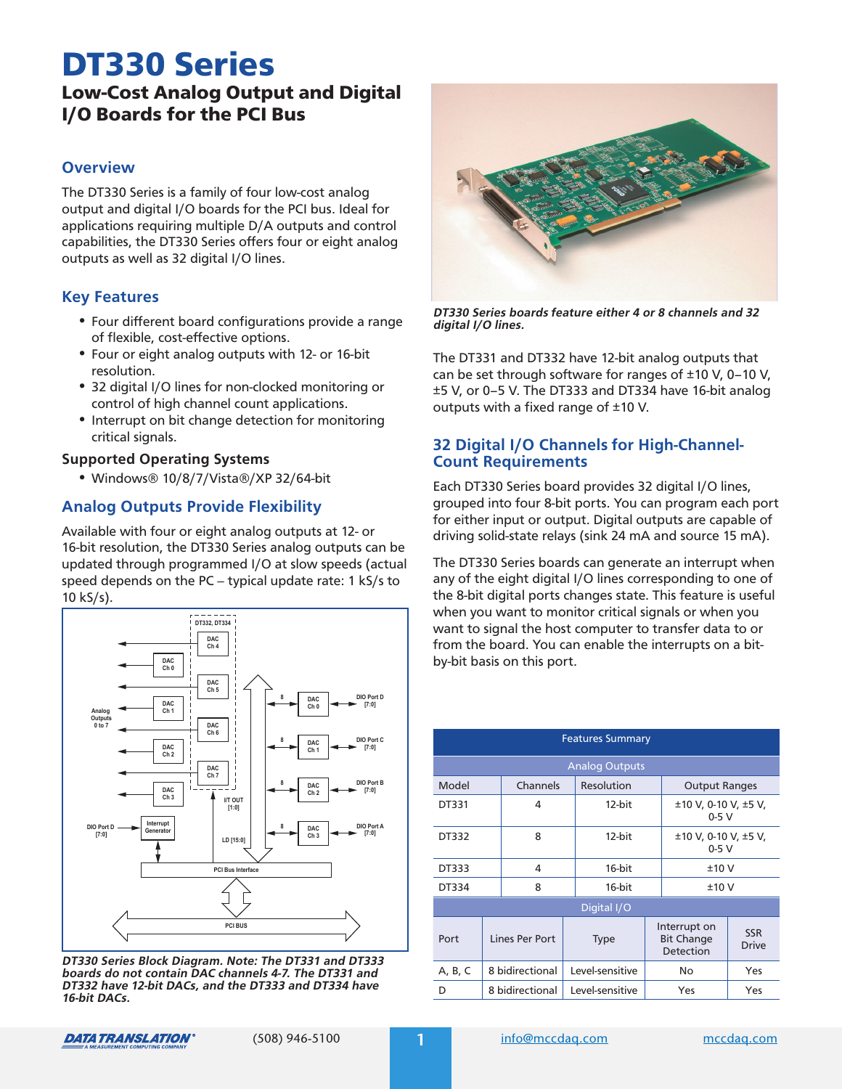# Low-Cost Analog Output and Digital DT330 Series

## I/O Boards for the PCI Bus

#### **Overview**

The DT330 Series is a family of four low-cost analog output and digital I/O boards for the PCI bus. Ideal for applications requiring multiple D/A outputs and control capabilities, the DT330 Series offers four or eight analog outputs as well as 32 digital I/O lines.

#### **Key Features**

- **•** Four different board configurations provide a range of flexible, cost-effective options.
- **•** Four or eight analog outputs with 12- or 16-bit resolution.
- **•** 32 digital I/O lines for non-clocked monitoring or control of high channel count applications.
- **•** Interrupt on bit change detection for monitoring critical signals.

#### **Supported Operating Systems**

**•** Windows® 10/8/7/Vista®/XP 32/64-bit

## **Analog Outputs Provide Flexibility**

Available with four or eight analog outputs at 12- or 16-bit resolution, the DT330 Series analog outputs can be updated through programmed I/O at slow speeds (actual speed depends on the PC – typical update rate: 1 kS/s to 10 kS/s).



**DT330 Series Block Diagram. Note: The DT331 and DT333 boards do not contain DAC channels 4-7. The DT331 and DT332 have 12-bit DACs, and the DT333 and DT334 have 16-bit DACs.**



**DT330 Series boards feature either 4 or 8 channels and 32 digital I/O lines.**

The DT331 and DT332 have 12-bit analog outputs that can be set through software for ranges of ±10 V, 0–10 V, ±5 V, or 0–5 V. The DT333 and DT334 have 16-bit analog outputs with a fixed range of ±10 V.

#### **32 Digital I/O Channels for High-Channel-Count Requirements**

Each DT330 Series board provides 32 digital I/O lines, grouped into four 8-bit ports. You can program each port for either input or output. Digital outputs are capable of driving solid-state relays (sink 24 mA and source 15 mA).

The DT330 Series boards can generate an interrupt when any of the eight digital I/O lines corresponding to one of the 8-bit digital ports changes state. This feature is useful when you want to monitor critical signals or when you want to signal the host computer to transfer data to or from the board. You can enable the interrupts on a bitby-bit basis on this port.

| <b>Features Summary</b> |                 |          |        |                 |                                                |                                    |                            |
|-------------------------|-----------------|----------|--------|-----------------|------------------------------------------------|------------------------------------|----------------------------|
| <b>Analog Outputs</b>   |                 |          |        |                 |                                                |                                    |                            |
| Model                   |                 | Channels |        | Resolution      |                                                | <b>Output Ranges</b>               |                            |
| DT331                   | 4               |          | 12-bit |                 |                                                | $±10$ V, 0-10 V, $±5$ V,<br>$0-5V$ |                            |
| DT332                   | 8               |          |        | 12-bit          |                                                | $±10$ V, 0-10 V, $±5$ V,<br>$0-5V$ |                            |
| DT333                   | 4               |          |        | 16-bit          |                                                | ±10V                               |                            |
| DT334                   | 8               |          |        | 16-bit          |                                                | ±10V                               |                            |
| Digital I/O             |                 |          |        |                 |                                                |                                    |                            |
| Port                    | Lines Per Port  |          |        | <b>Type</b>     | Interrupt on<br><b>Bit Change</b><br>Detection |                                    | <b>SSR</b><br><b>Drive</b> |
| A, B, C                 | 8 bidirectional |          |        | Level-sensitive | No                                             |                                    | Yes                        |
| D                       | 8 bidirectional |          |        | Level-sensitive | Yes                                            |                                    | Yes                        |